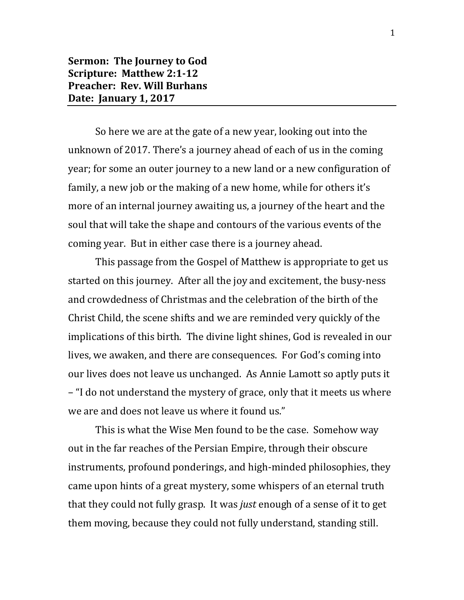## **Sermon: The Journey to God Scripture: Matthew 2:1-12 Preacher: Rev. Will Burhans Date: January 1, 2017**

So here we are at the gate of a new year, looking out into the unknown of 2017. There's a journey ahead of each of us in the coming year; for some an outer journey to a new land or a new configuration of family, a new job or the making of a new home, while for others it's more of an internal journey awaiting us, a journey of the heart and the soul that will take the shape and contours of the various events of the coming year. But in either case there is a journey ahead.

This passage from the Gospel of Matthew is appropriate to get us started on this journey. After all the joy and excitement, the busy-ness and crowdedness of Christmas and the celebration of the birth of the Christ Child, the scene shifts and we are reminded very quickly of the implications of this birth. The divine light shines, God is revealed in our lives, we awaken, and there are consequences. For God's coming into our lives does not leave us unchanged. As Annie Lamott so aptly puts it – "I do not understand the mystery of grace, only that it meets us where we are and does not leave us where it found us."

This is what the Wise Men found to be the case. Somehow way out in the far reaches of the Persian Empire, through their obscure instruments, profound ponderings, and high-minded philosophies, they came upon hints of a great mystery, some whispers of an eternal truth that they could not fully grasp. It was *just* enough of a sense of it to get them moving, because they could not fully understand, standing still.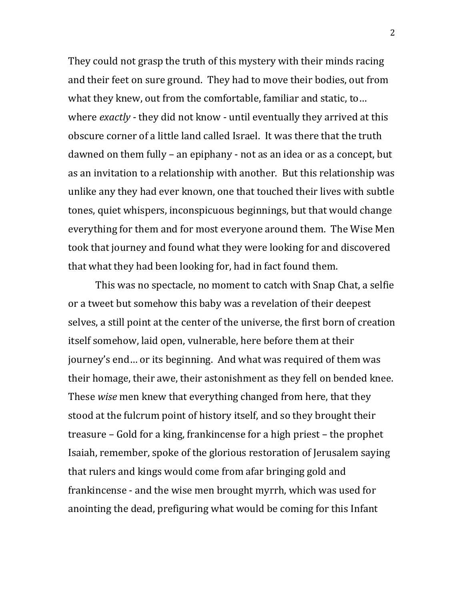They could not grasp the truth of this mystery with their minds racing and their feet on sure ground. They had to move their bodies, out from what they knew, out from the comfortable, familiar and static, to… where *exactly* - they did not know - until eventually they arrived at this obscure corner of a little land called Israel. It was there that the truth dawned on them fully – an epiphany - not as an idea or as a concept, but as an invitation to a relationship with another. But this relationship was unlike any they had ever known, one that touched their lives with subtle tones, quiet whispers, inconspicuous beginnings, but that would change everything for them and for most everyone around them. The Wise Men took that journey and found what they were looking for and discovered that what they had been looking for, had in fact found them.

This was no spectacle, no moment to catch with Snap Chat, a selfie or a tweet but somehow this baby was a revelation of their deepest selves, a still point at the center of the universe, the first born of creation itself somehow, laid open, vulnerable, here before them at their journey's end… or its beginning. And what was required of them was their homage, their awe, their astonishment as they fell on bended knee. These *wise* men knew that everything changed from here, that they stood at the fulcrum point of history itself, and so they brought their treasure – Gold for a king, frankincense for a high priest – the prophet Isaiah, remember, spoke of the glorious restoration of Jerusalem saying that rulers and kings would come from afar bringing gold and frankincense - and the wise men brought myrrh, which was used for anointing the dead, prefiguring what would be coming for this Infant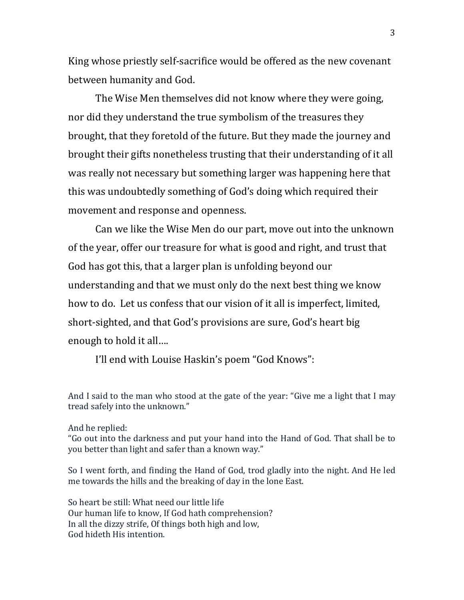King whose priestly self-sacrifice would be offered as the new covenant between humanity and God.

The Wise Men themselves did not know where they were going, nor did they understand the true symbolism of the treasures they brought, that they foretold of the future. But they made the journey and brought their gifts nonetheless trusting that their understanding of it all was really not necessary but something larger was happening here that this was undoubtedly something of God's doing which required their movement and response and openness.

Can we like the Wise Men do our part, move out into the unknown of the year, offer our treasure for what is good and right, and trust that God has got this, that a larger plan is unfolding beyond our understanding and that we must only do the next best thing we know how to do. Let us confess that our vision of it all is imperfect, limited, short-sighted, and that God's provisions are sure, God's heart big enough to hold it all….

I'll end with Louise Haskin's poem "God Knows":

And I said to the man who stood at the gate of the year: "Give me a light that I may tread safely into the unknown."

And he replied:

"Go out into the darkness and put your hand into the Hand of God. That shall be to you better than light and safer than a known way."

So I went forth, and finding the Hand of God, trod gladly into the night. And He led me towards the hills and the breaking of day in the lone East.

So heart be still: What need our little life Our human life to know, If God hath comprehension? In all the dizzy strife, Of things both high and low, God hideth His intention.